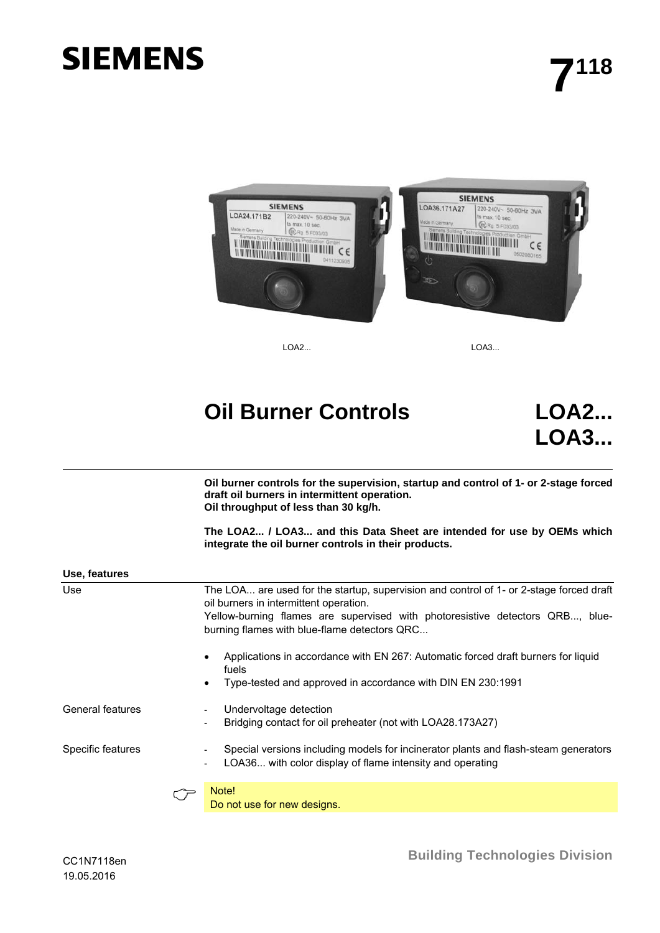# **SIEMENS**



LOA2... LOA3...

## **Oil Burner Controls LOA2...**

**LOA3...**

**Oil burner controls for the supervision, startup and control of 1- or 2-stage forced draft oil burners in intermittent operation. Oil throughput of less than 30 kg/h.** 

**The LOA2... / LOA3... and this Data Sheet are intended for use by OEMs which integrate the oil burner controls in their products.** 

| Use, features     |                                                                                                                                                                                                                                                                    |
|-------------------|--------------------------------------------------------------------------------------------------------------------------------------------------------------------------------------------------------------------------------------------------------------------|
| Use               | The LOA are used for the startup, supervision and control of 1- or 2-stage forced draft<br>oil burners in intermittent operation.<br>Yellow-burning flames are supervised with photoresistive detectors QRB, blue-<br>burning flames with blue-flame detectors QRC |
|                   | Applications in accordance with EN 267: Automatic forced draft burners for liquid<br>٠<br>fuels<br>Type-tested and approved in accordance with DIN EN 230:1991<br>٠                                                                                                |
| General features  | Undervoltage detection<br>$\overline{\phantom{0}}$<br>Bridging contact for oil preheater (not with LOA28.173A27)<br>$\overline{\phantom{a}}$                                                                                                                       |
| Specific features | Special versions including models for incinerator plants and flash-steam generators<br>$\overline{\phantom{a}}$<br>LOA36 with color display of flame intensity and operating<br>$\overline{\phantom{0}}$                                                           |
|                   | Note!<br>Do not use for new designs.                                                                                                                                                                                                                               |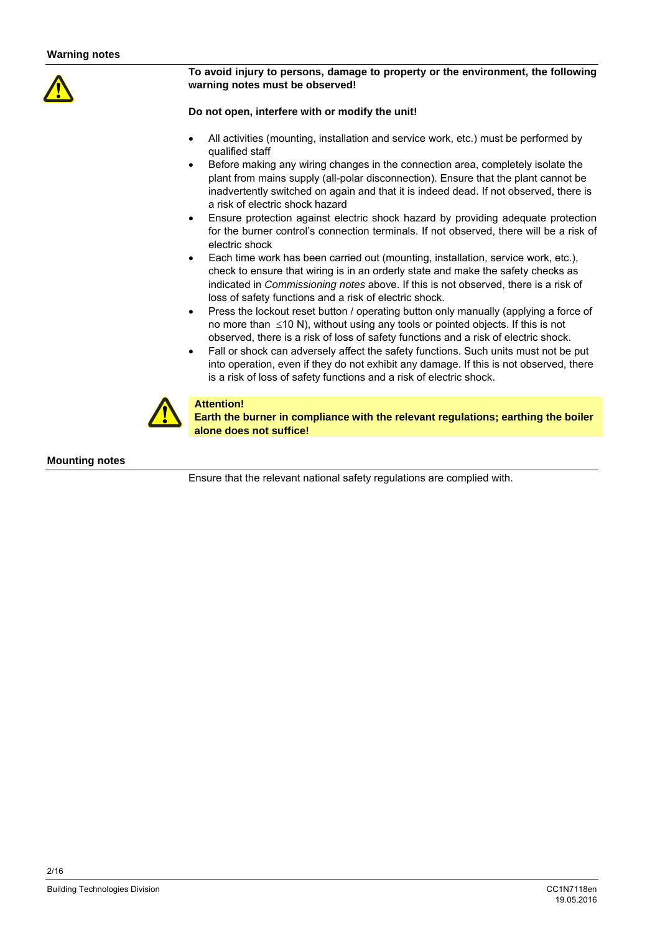

#### **To avoid injury to persons, damage to property or the environment, the following warning notes must be observed!**

#### **Do not open, interfere with or modify the unit!**

- All activities (mounting, installation and service work, etc.) must be performed by qualified staff
- Before making any wiring changes in the connection area, completely isolate the plant from mains supply (all-polar disconnection). Ensure that the plant cannot be inadvertently switched on again and that it is indeed dead. If not observed, there is a risk of electric shock hazard
- Ensure protection against electric shock hazard by providing adequate protection for the burner control's connection terminals. If not observed, there will be a risk of electric shock
- Each time work has been carried out (mounting, installation, service work, etc.), check to ensure that wiring is in an orderly state and make the safety checks as indicated in *Commissioning notes* above. If this is not observed, there is a risk of loss of safety functions and a risk of electric shock.
- Press the lockout reset button / operating button only manually (applying a force of no more than  $\leq 10$  N), without using any tools or pointed objects. If this is not observed, there is a risk of loss of safety functions and a risk of electric shock.
- Fall or shock can adversely affect the safety functions. Such units must not be put into operation, even if they do not exhibit any damage. If this is not observed, there is a risk of loss of safety functions and a risk of electric shock.



#### **Attention!**

**Earth the burner in compliance with the relevant regulations; earthing the boiler alone does not suffice!** 

#### **Mounting notes**

Ensure that the relevant national safety regulations are complied with.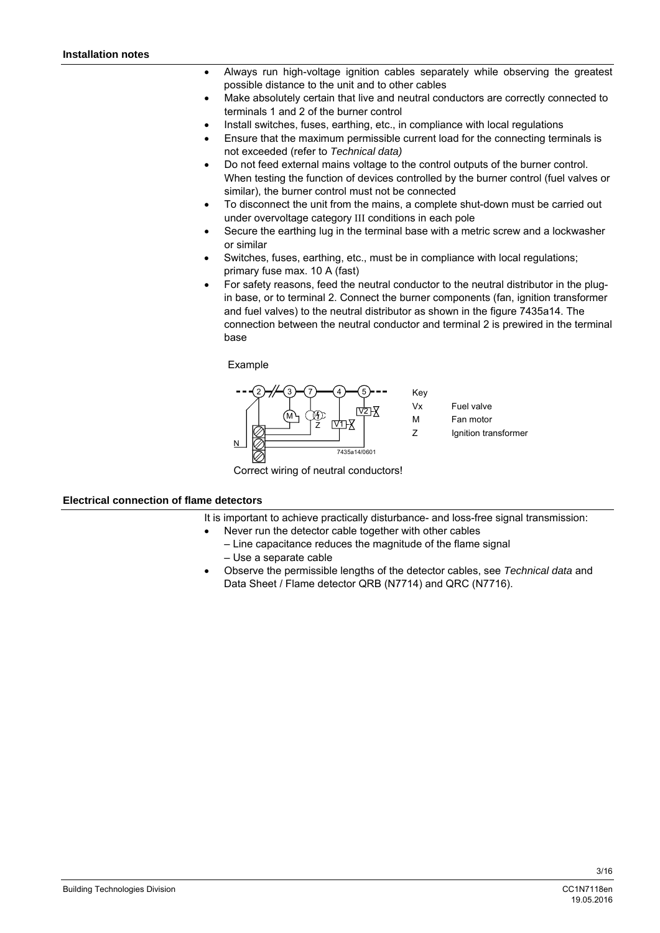- Always run high-voltage ignition cables separately while observing the greatest possible distance to the unit and to other cables
- Make absolutely certain that live and neutral conductors are correctly connected to terminals 1 and 2 of the burner control
- Install switches, fuses, earthing, etc., in compliance with local regulations
- Ensure that the maximum permissible current load for the connecting terminals is not exceeded (refer to *Technical data)*
- Do not feed external mains voltage to the control outputs of the burner control. When testing the function of devices controlled by the burner control (fuel valves or similar), the burner control must not be connected
- To disconnect the unit from the mains, a complete shut-down must be carried out under overvoltage category III conditions in each pole
- Secure the earthing lug in the terminal base with a metric screw and a lockwasher or similar
- Switches, fuses, earthing, etc., must be in compliance with local regulations; primary fuse max. 10 A (fast)
- For safety reasons, feed the neutral conductor to the neutral distributor in the plugin base, or to terminal 2. Connect the burner components (fan, ignition transformer and fuel valves) to the neutral distributor as shown in the figure 7435a14. The connection between the neutral conductor and terminal 2 is prewired in the terminal base

Example



Correct wiring of neutral conductors!

#### **Electrical connection of flame detectors**

It is important to achieve practically disturbance- and loss-free signal transmission:

- Never run the detector cable together with other cables
	- Line capacitance reduces the magnitude of the flame signal
	- Use a separate cable
- Observe the permissible lengths of the detector cables, see *Technical data* and Data Sheet / Flame detector QRB (N7714) and QRC (N7716).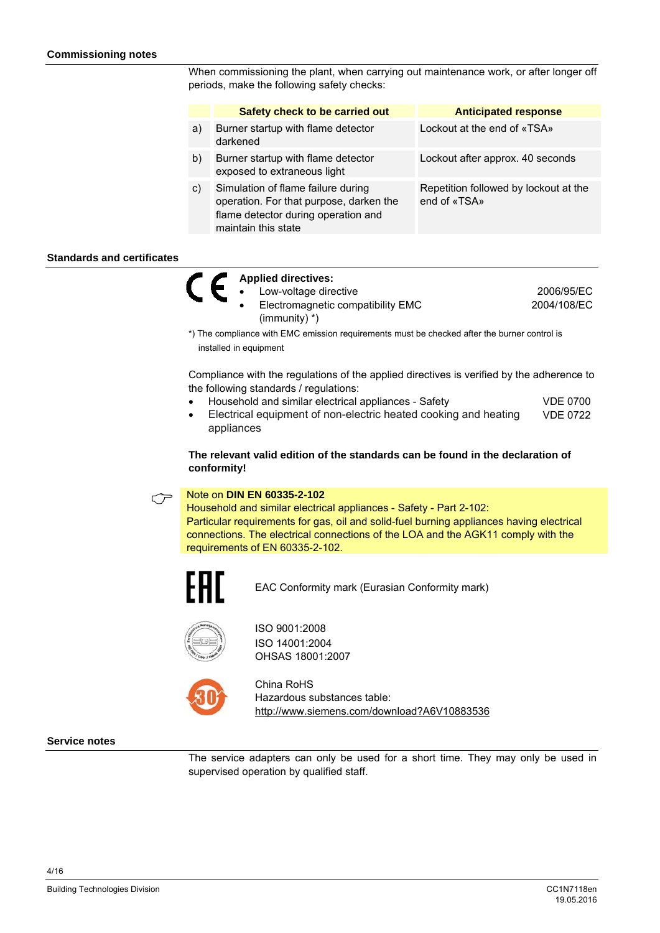When commissioning the plant, when carrying out maintenance work, or after longer off periods, make the following safety checks:

|    | Safety check to be carried out                                                                                                              | <b>Anticipated response</b>                           |
|----|---------------------------------------------------------------------------------------------------------------------------------------------|-------------------------------------------------------|
| a) | Burner startup with flame detector<br>darkened                                                                                              | Lockout at the end of «TSA»                           |
| b) | Burner startup with flame detector<br>exposed to extraneous light                                                                           | Lockout after approx. 40 seconds                      |
| C) | Simulation of flame failure during<br>operation. For that purpose, darken the<br>flame detector during operation and<br>maintain this state | Repetition followed by lockout at the<br>end of «TSA» |

#### **Standards and certificates**

|  | <b>Applied directives:</b>        |             |
|--|-----------------------------------|-------------|
|  | Low-voltage directive             | 2006/95/EC  |
|  | Electromagnetic compatibility EMC | 2004/108/EC |
|  | $\text{(immunity)}^*$             |             |

\*) The compliance with EMC emission requirements must be checked after the burner control is installed in equipment

Compliance with the regulations of the applied directives is verified by the adherence to the following standards / regulations:

- Household and similar electrical appliances Safety VDE 0700
- Electrical equipment of non-electric heated cooking and heating appliances VDE 0722

**The relevant valid edition of the standards can be found in the declaration of conformity!** 

 Note on **DIN EN 60335-2-102** Household and similar electrical appliances - Safety - Part 2-102: Particular requirements for gas, oil and solid-fuel burning appliances having electrical connections. The electrical connections of the LOA and the AGK11 comply with the requirements of EN 60335-2-102.



EAC Conformity mark (Eurasian Conformity mark)



ISO 9001:2008 ISO 14001:2004 OHSAS 18001:2007



China RoHS Hazardous substances table: http://www.siemens.com/download?A6V10883536

#### **Service notes**

The service adapters can only be used for a short time. They may only be used in supervised operation by qualified staff.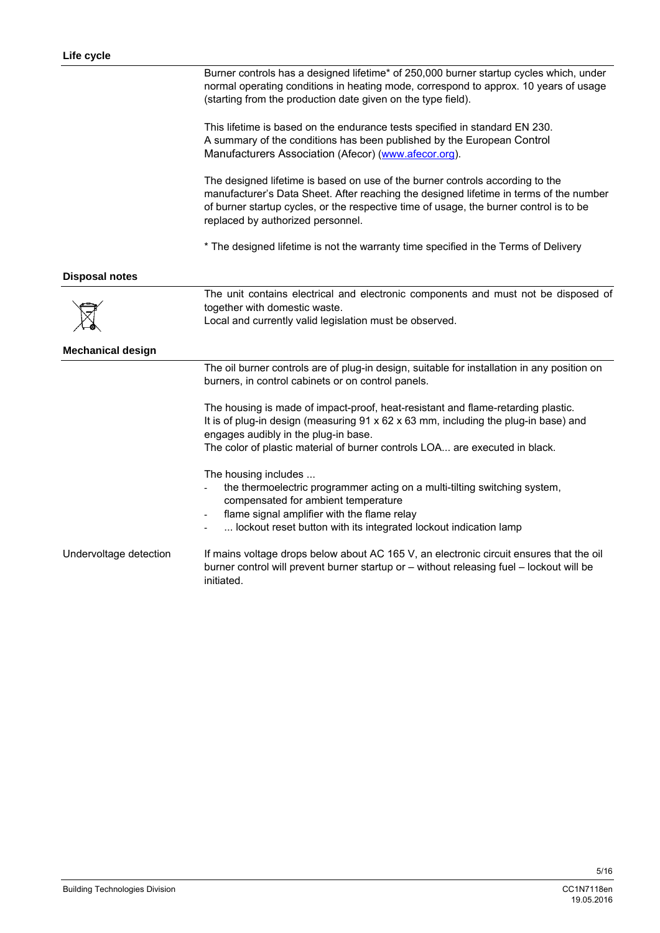|                          | Burner controls has a designed lifetime* of 250,000 burner startup cycles which, under<br>normal operating conditions in heating mode, correspond to approx. 10 years of usage<br>(starting from the production date given on the type field).                                                         |
|--------------------------|--------------------------------------------------------------------------------------------------------------------------------------------------------------------------------------------------------------------------------------------------------------------------------------------------------|
|                          | This lifetime is based on the endurance tests specified in standard EN 230.<br>A summary of the conditions has been published by the European Control<br>Manufacturers Association (Afecor) (www.afecor.org).                                                                                          |
|                          | The designed lifetime is based on use of the burner controls according to the<br>manufacturer's Data Sheet. After reaching the designed lifetime in terms of the number<br>of burner startup cycles, or the respective time of usage, the burner control is to be<br>replaced by authorized personnel. |
|                          | * The designed lifetime is not the warranty time specified in the Terms of Delivery                                                                                                                                                                                                                    |
| <b>Disposal notes</b>    |                                                                                                                                                                                                                                                                                                        |
|                          | The unit contains electrical and electronic components and must not be disposed of<br>together with domestic waste.<br>Local and currently valid legislation must be observed.                                                                                                                         |
| <b>Mechanical design</b> |                                                                                                                                                                                                                                                                                                        |
|                          | The oil burner controls are of plug-in design, suitable for installation in any position on<br>burners, in control cabinets or on control panels.                                                                                                                                                      |
|                          | The housing is made of impact-proof, heat-resistant and flame-retarding plastic.<br>It is of plug-in design (measuring 91 x 62 x 63 mm, including the plug-in base) and<br>engages audibly in the plug-in base.                                                                                        |
|                          | The color of plastic material of burner controls LOA are executed in black.                                                                                                                                                                                                                            |
|                          | The housing includes<br>the thermoelectric programmer acting on a multi-tilting switching system,<br>compensated for ambient temperature<br>flame signal amplifier with the flame relay<br>lockout reset button with its integrated lockout indication lamp                                            |
| Undervoltage detection   | If mains voltage drops below about AC 165 V, an electronic circuit ensures that the oil<br>burner control will prevent burner startup or - without releasing fuel - lockout will be<br>initiated.                                                                                                      |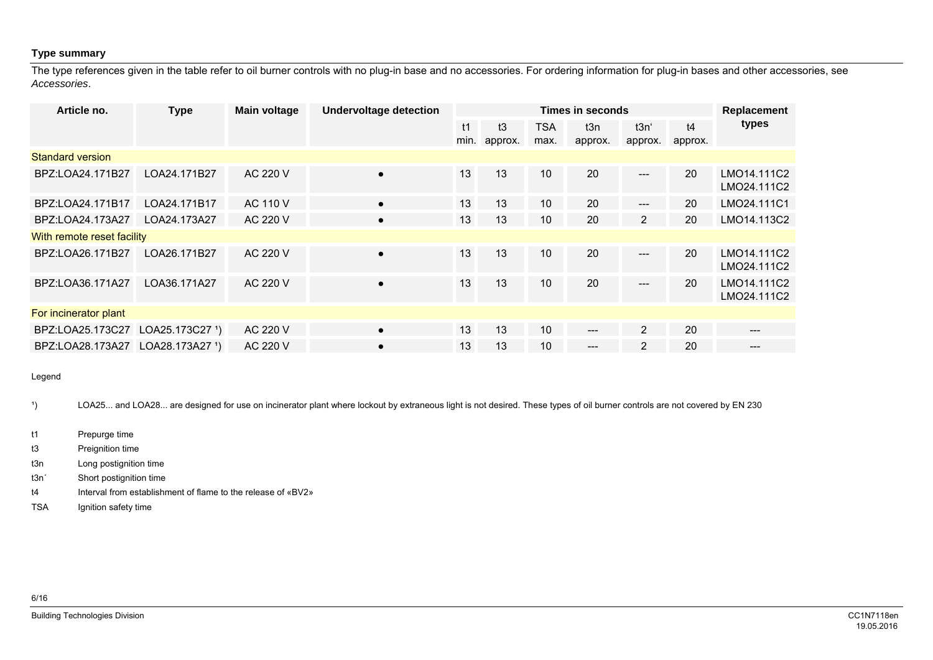#### **Type summary**

The type references given in the table refer to oil burner controls with no plug-in base and no accessories. For ordering information for plug-in bases and other accessories, see *Accessories*.

| Article no.                | <b>Type</b>                   | Main voltage    | <b>Undervoltage detection</b> | <b>Times in seconds</b> |         |                 |         | Replacement    |         |                            |
|----------------------------|-------------------------------|-----------------|-------------------------------|-------------------------|---------|-----------------|---------|----------------|---------|----------------------------|
|                            |                               |                 |                               | t1                      | t3      | <b>TSA</b>      | t3n     | t3n'           | t4      | types                      |
|                            |                               |                 |                               | min.                    | approx. | max.            | approx. | approx.        | approx. |                            |
| <b>Standard version</b>    |                               |                 |                               |                         |         |                 |         |                |         |                            |
| BPZ:LOA24.171B27           | LOA24.171B27                  | AC 220 V        | $\bullet$                     | 13                      | 13      | 10              | 20      | ---            | 20      | LMO14.111C2<br>LMO24.111C2 |
| BPZ:LOA24.171B17           | LOA24.171B17                  | <b>AC 110 V</b> | $\bullet$                     | 13                      | 13      | 10              | 20      | ---            | 20      | LMO24.111C1                |
| BPZ:LOA24.173A27           | LOA24.173A27                  | AC 220 V        | $\bullet$                     | 13                      | 13      | 10 <sup>°</sup> | 20      | $\overline{2}$ | 20      | LMO14.113C2                |
| With remote reset facility |                               |                 |                               |                         |         |                 |         |                |         |                            |
| BPZ:LOA26.171B27           | LOA26.171B27                  | AC 220 V        | $\bullet$                     | 13                      | 13      | 10              | 20      | ---            | 20      | LMO14.111C2<br>LMO24.111C2 |
| BPZ:LOA36.171A27           | LOA36.171A27                  | AC 220 V        | $\bullet$                     | 13                      | 13      | 10              | 20      | ---            | 20      | LMO14.111C2<br>LMO24.111C2 |
| For incinerator plant      |                               |                 |                               |                         |         |                 |         |                |         |                            |
| BPZ:LOA25.173C27           | $LOA25.173C27$ <sup>1</sup> ) | AC 220 V        | $\bullet$                     | 13                      | 13      | 10              | $---$   | $\overline{2}$ | 20      | ---                        |
| BPZ:LOA28.173A27           | LOA28.173A27 <sup>1</sup> )   | AC 220 V        | $\bullet$                     | 13                      | 13      | 10              | $---$   | $\overline{2}$ | 20      | $---$                      |

Legend

<sup>1</sup>) LOA25... and LOA28... are designed for use on incinerator plant where lockout by extraneous light is not desired. These types of oil burner controls are not covered by EN 230

t1 Prepurge time

t3 Preignition time

t3n Long postignition time

- t3n´ Short postignition time
- t4 Interval from establishment of flame to the release of «BV2»
- TSA Ignition safety time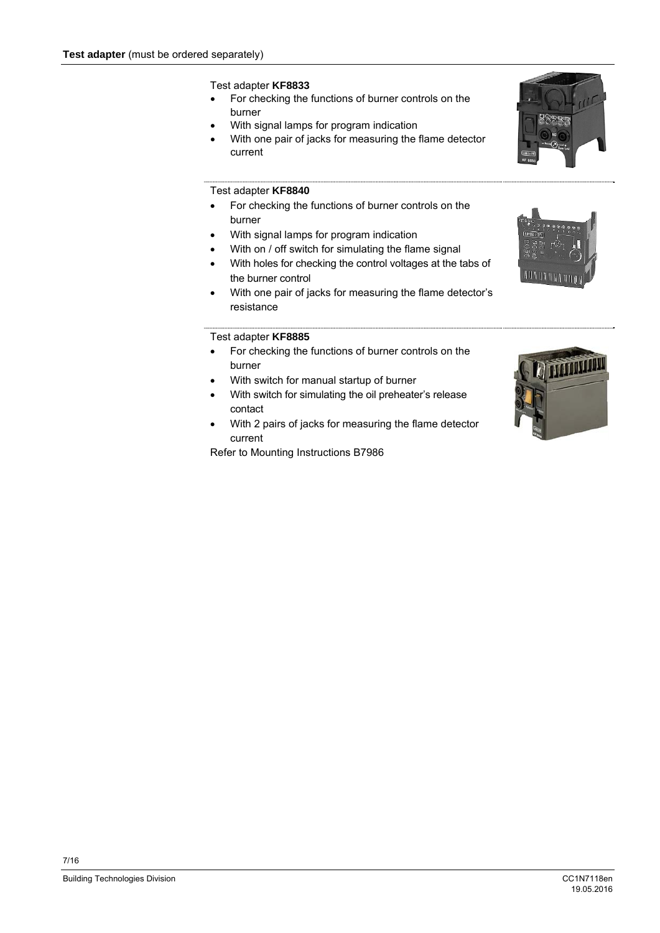#### Test adapter **KF8833**

- For checking the functions of burner controls on the burner
- With signal lamps for program indication
- With one pair of jacks for measuring the flame detector current

#### Test adapter **KF8840**

- For checking the functions of burner controls on the burner
- With signal lamps for program indication
- With on / off switch for simulating the flame signal
- With holes for checking the control voltages at the tabs of the burner control
- With one pair of jacks for measuring the flame detector's resistance

#### Test adapter **KF8885**

- For checking the functions of burner controls on the burner
- With switch for manual startup of burner
- With switch for simulating the oil preheater's release contact
- With 2 pairs of jacks for measuring the flame detector current

Refer to Mounting Instructions B7986





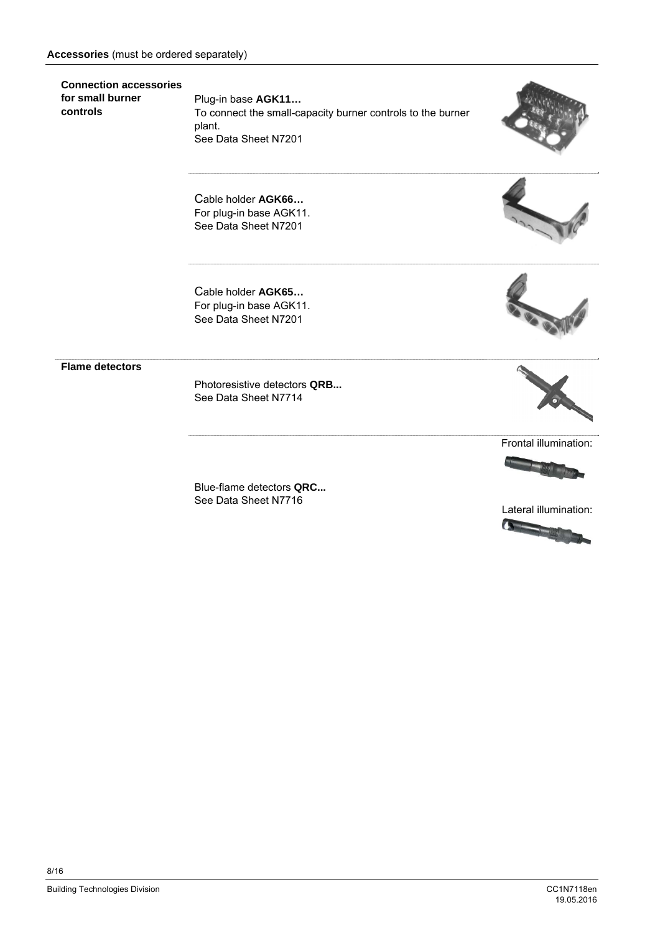#### **Accessories** (must be ordered separately)

**Connection accessories for small burner controls** 

Plug-in base **AGK11…**  To connect the small-capacity burner controls to the burner plant. See Data Sheet N7201



Cable holder **AGK66…**  For plug-in base AGK11. See Data Sheet N7201

Cable holder **AGK65…**  For plug-in base AGK11. See Data Sheet N7201

**Flame detectors**

Photoresistive detectors **QRB...**  See Data Sheet N7714

Blue-flame detectors **QRC...**  See Data Sheet N7716



Frontal illumination:



Lateral illumination:  $\bullet$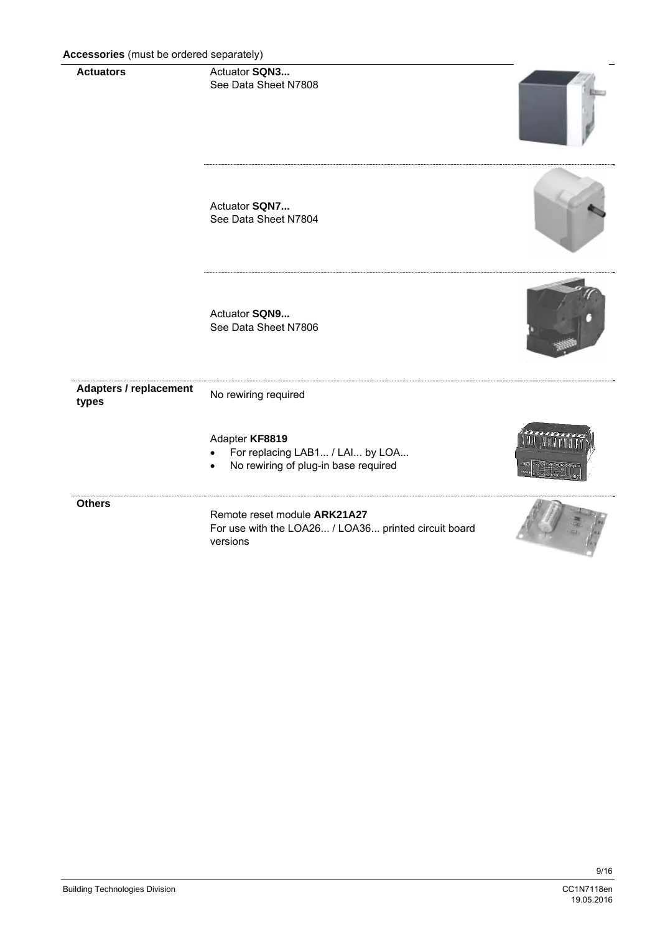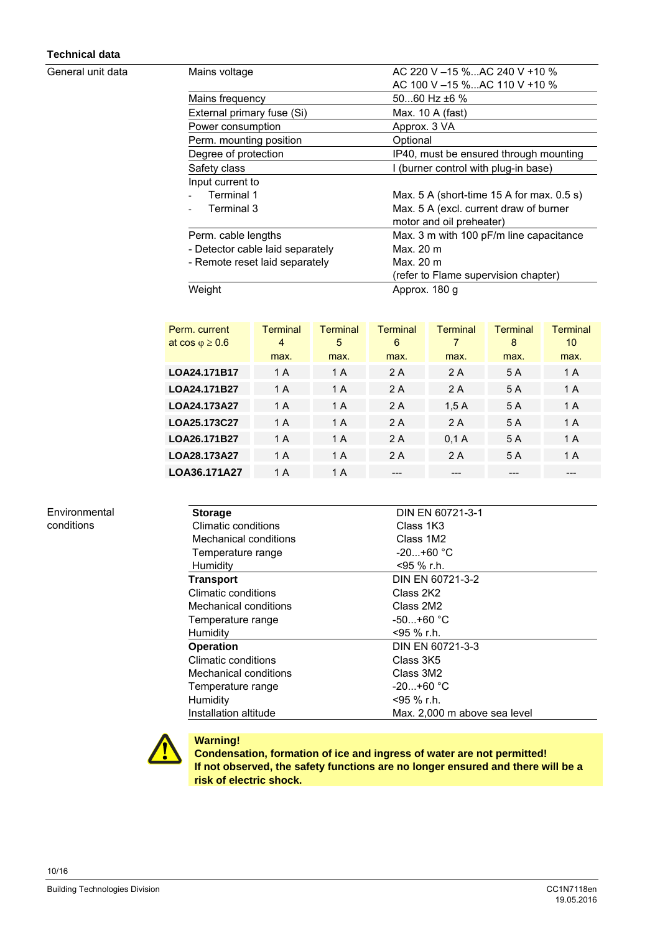### **Technical data**

General unit data

| Mains voltage                    | AC 220 V $-15$ %AC 240 V +10 %                |
|----------------------------------|-----------------------------------------------|
|                                  | AC 100 V -15 %AC 110 V +10 %                  |
| Mains frequency                  | $5060$ Hz $\pm 6$ %                           |
| External primary fuse (Si)       | Max. 10 A (fast)                              |
| Power consumption                | Approx. 3 VA                                  |
| Perm. mounting position          | Optional                                      |
| Degree of protection             | IP40, must be ensured through mounting        |
| Safety class                     | I (burner control with plug-in base)          |
| Input current to                 |                                               |
| Terminal 1                       | Max. $5$ A (short-time 15 A for max. $0.5$ s) |
| Terminal 3                       | Max. 5 A (excl. current draw of burner        |
|                                  | motor and oil preheater)                      |
| Perm. cable lengths              | Max. 3 m with 100 pF/m line capacitance       |
| - Detector cable laid separately | Max. 20 m                                     |
| - Remote reset laid separately   | Max. 20 m                                     |
|                                  | (refer to Flame supervision chapter)          |
| Weight                           | Approx. 180 q                                 |

| Perm. current              | Terminal | <b>Terminal</b> | <b>Terminal</b> | <b>Terminal</b> | Terminal | <b>Terminal</b> |
|----------------------------|----------|-----------------|-----------------|-----------------|----------|-----------------|
| at $\cos \varphi \geq 0.6$ | 4        | 5               | 6               | 7               | 8        | 10              |
|                            | max.     | max.            | max.            | max.            | max.     | max.            |
| LOA24.171B17               | 1 A      | 1 A             | 2 A             | 2 A             | 5 A      | 1 A             |
| LOA24.171B27               | 1 A      | 1 A             | 2 A             | 2 A             | 5 A      | 1 A             |
| LOA24.173A27               | 1 A      | 1 A             | 2 A             | 1,5A            | 5 A      | 1 A             |
| LOA25.173C27               | 1 A      | 1 A             | 2 A             | 2 A             | 5 A      | 1 A             |
| LOA26.171B27               | 1 A      | 1 A             | 2 A             | 0.1A            | 5 A      | 1 A             |
| LOA28.173A27               | 1 A      | 1 A             | 2 A             | 2 A             | 5 A      | 1 A             |
| LOA36.171A27               | 1 A      | 1 A             | ---             | ---             | ---      | ---             |

Environmental conditions

| <b>Storage</b>        | DIN EN 60721-3-1             |
|-----------------------|------------------------------|
| Climatic conditions   | Class 1K3                    |
| Mechanical conditions | Class 1M2                    |
| Temperature range     | $-20+60 °C$                  |
| Humidity              | <95 % r.h.                   |
| <b>Transport</b>      | DIN EN 60721-3-2             |
| Climatic conditions   | Class 2K2                    |
| Mechanical conditions | Class 2M2                    |
| Temperature range     | -50…+60 °C                   |
| Humidity              | <95 % r.h.                   |
| <b>Operation</b>      | DIN EN 60721-3-3             |
| Climatic conditions   | Class 3K5                    |
| Mechanical conditions | Class 3M2                    |
| Temperature range     | $-20+60 °C$                  |
| Humidity              | <95 % r.h.                   |
| Installation altitude | Max. 2,000 m above sea level |



## **Warning!**

**Condensation, formation of ice and ingress of water are not permitted! If not observed, the safety functions are no longer ensured and there will be a risk of electric shock.**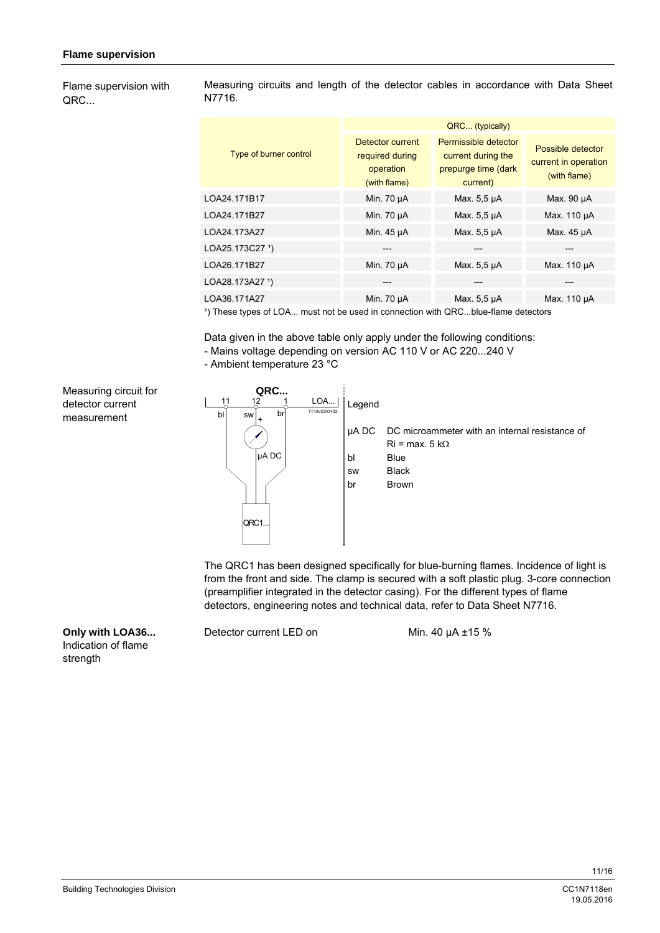Flame supervision with QRC...

Measuring circuits and length of the detector cables in accordance with Data Sheet N7716.

|                               | QRC (typically)                                                  |                                                                               |                                                           |  |  |
|-------------------------------|------------------------------------------------------------------|-------------------------------------------------------------------------------|-----------------------------------------------------------|--|--|
| Type of burner control        | Detector current<br>required during<br>operation<br>(with flame) | Permissible detector<br>current during the<br>prepurge time (dark<br>current) | Possible detector<br>current in operation<br>(with flame) |  |  |
| LOA24.171B17                  | Min. 70 µA                                                       | Max. 5,5 µA                                                                   | Max. 90 µA                                                |  |  |
| LOA24.171B27                  | Min. 70 µA                                                       | Max. 5,5 µA                                                                   | Max. 110 µA                                               |  |  |
| LOA24.173A27                  | Min. 45 µA                                                       | Max. 5,5 µA                                                                   | Max. 45 µA                                                |  |  |
| LOA25.173C27 1)               |                                                                  |                                                                               |                                                           |  |  |
| LOA26.171B27                  | Min. 70 µA                                                       | Max. 5,5 µA                                                                   | Max. 110 µA                                               |  |  |
| LOA28.173A27 1)               | ---                                                              | ---                                                                           | ---                                                       |  |  |
| LOA36.171A27                  | Min. 70 µA                                                       | Max. 5,5 µA                                                                   | Max. 110 µA                                               |  |  |
| 1) $TL - - - + - - - - - - -$ |                                                                  | asistrated the contractor of the CDO this flow detection                      |                                                           |  |  |

) These types of LOA... must not be used in connection with QRC...blue-flame detectors

Data given in the above table only apply under the following conditions: - Mains voltage depending on version AC 110 V or AC 220...240 V

- Ambient temperature 23 °C

Measuring circuit for detector current measurement



The QRC1 has been designed specifically for blue-burning flames. Incidence of light is from the front and side. The clamp is secured with a soft plastic plug. 3-core connection (preamplifier integrated in the detector casing). For the different types of flame detectors, engineering notes and technical data, refer to Data Sheet N7716.

Detector current LED on Min. 40 µA ±15 %

**Only with LOA36...**  Indication of flame strength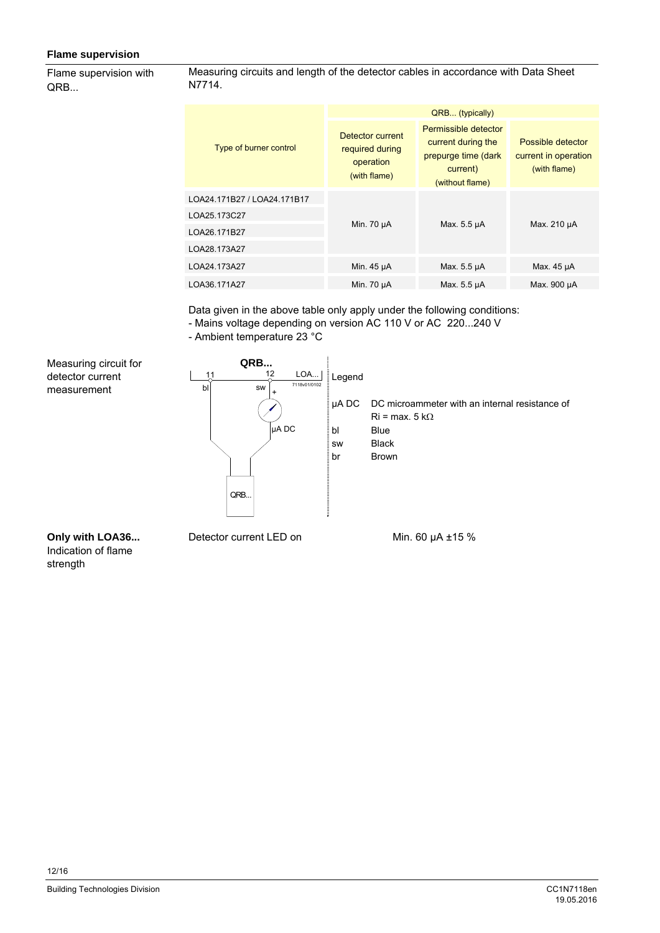### **Flame supervision**

Flame supervision with QRB...

Measuring circuits and length of the detector cables in accordance with Data Sheet N7714.

|                             | QRB (typically)                                                  |                                                                                                  |                                                           |  |
|-----------------------------|------------------------------------------------------------------|--------------------------------------------------------------------------------------------------|-----------------------------------------------------------|--|
| Type of burner control      | Detector current<br>required during<br>operation<br>(with flame) | Permissible detector<br>current during the<br>prepurge time (dark<br>current)<br>(without flame) | Possible detector<br>current in operation<br>(with flame) |  |
| LOA24.171B27 / LOA24.171B17 |                                                                  |                                                                                                  |                                                           |  |
| LOA25.173C27                |                                                                  |                                                                                                  | Max. 210 µA                                               |  |
| LOA26.171B27                | Min. 70 µA                                                       | Max. 5.5 µA                                                                                      |                                                           |  |
| LOA28.173A27                |                                                                  |                                                                                                  |                                                           |  |
| LOA24.173A27                | Min. 45 µA                                                       | Max. 5.5 µA                                                                                      | Max. 45 µA                                                |  |
| LOA36.171A27                | Min. 70 µA                                                       | Max. 5.5 µA                                                                                      | Max. 900 µA                                               |  |

Data given in the above table only apply under the following conditions:

- Mains voltage depending on version AC 110 V or AC 220...240 V

- Ambient temperature 23 °C



**Only with LOA36...**  Indication of flame strength

Detector current LED on Min. 60 µA ±15 %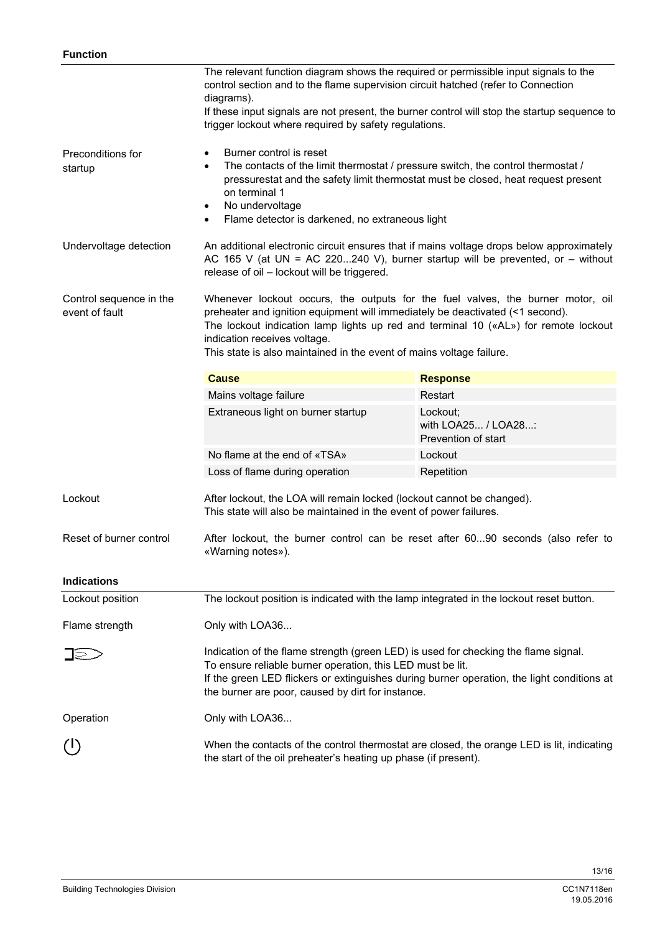|                                           | The relevant function diagram shows the required or permissible input signals to the<br>control section and to the flame supervision circuit hatched (refer to Connection<br>diagrams).<br>If these input signals are not present, the burner control will stop the startup sequence to<br>trigger lockout where required by safety regulations.                         |                                                        |  |  |
|-------------------------------------------|--------------------------------------------------------------------------------------------------------------------------------------------------------------------------------------------------------------------------------------------------------------------------------------------------------------------------------------------------------------------------|--------------------------------------------------------|--|--|
| Preconditions for<br>startup              | Burner control is reset<br>$\bullet$<br>The contacts of the limit thermostat / pressure switch, the control thermostat /<br>$\bullet$<br>pressurestat and the safety limit thermostat must be closed, heat request present<br>on terminal 1<br>No undervoltage<br>$\bullet$<br>Flame detector is darkened, no extraneous light<br>$\bullet$                              |                                                        |  |  |
| Undervoltage detection                    | An additional electronic circuit ensures that if mains voltage drops below approximately<br>AC 165 V (at UN = AC 220240 V), burner startup will be prevented, or $-$ without<br>release of oil - lockout will be triggered.                                                                                                                                              |                                                        |  |  |
| Control sequence in the<br>event of fault | Whenever lockout occurs, the outputs for the fuel valves, the burner motor, oil<br>preheater and ignition equipment will immediately be deactivated (<1 second).<br>The lockout indication lamp lights up red and terminal 10 $(\text{«AL»})$ for remote lockout<br>indication receives voltage.<br>This state is also maintained in the event of mains voltage failure. |                                                        |  |  |
|                                           | <b>Cause</b>                                                                                                                                                                                                                                                                                                                                                             | <b>Response</b>                                        |  |  |
|                                           | Mains voltage failure                                                                                                                                                                                                                                                                                                                                                    | Restart                                                |  |  |
|                                           | Extraneous light on burner startup                                                                                                                                                                                                                                                                                                                                       | Lockout;<br>with LOA25 / LOA28:<br>Prevention of start |  |  |
|                                           | No flame at the end of «TSA»                                                                                                                                                                                                                                                                                                                                             | Lockout                                                |  |  |
|                                           | Loss of flame during operation                                                                                                                                                                                                                                                                                                                                           | Repetition                                             |  |  |
| Lockout                                   | After lockout, the LOA will remain locked (lockout cannot be changed).<br>This state will also be maintained in the event of power failures.                                                                                                                                                                                                                             |                                                        |  |  |
| Reset of burner control                   | After lockout, the burner control can be reset after 6090 seconds (also refer to<br>«Warning notes»).                                                                                                                                                                                                                                                                    |                                                        |  |  |
| <b>Indications</b>                        |                                                                                                                                                                                                                                                                                                                                                                          |                                                        |  |  |
| Lockout position                          | The lockout position is indicated with the lamp integrated in the lockout reset button.                                                                                                                                                                                                                                                                                  |                                                        |  |  |
| Flame strength                            | Only with LOA36                                                                                                                                                                                                                                                                                                                                                          |                                                        |  |  |
|                                           | Indication of the flame strength (green LED) is used for checking the flame signal.<br>To ensure reliable burner operation, this LED must be lit.<br>If the green LED flickers or extinguishes during burner operation, the light conditions at<br>the burner are poor, caused by dirt for instance.                                                                     |                                                        |  |  |
| Operation                                 | Only with LOA36                                                                                                                                                                                                                                                                                                                                                          |                                                        |  |  |
|                                           | When the contacts of the control thermostat are closed, the orange LED is lit, indicating<br>the start of the oil preheater's heating up phase (if present).                                                                                                                                                                                                             |                                                        |  |  |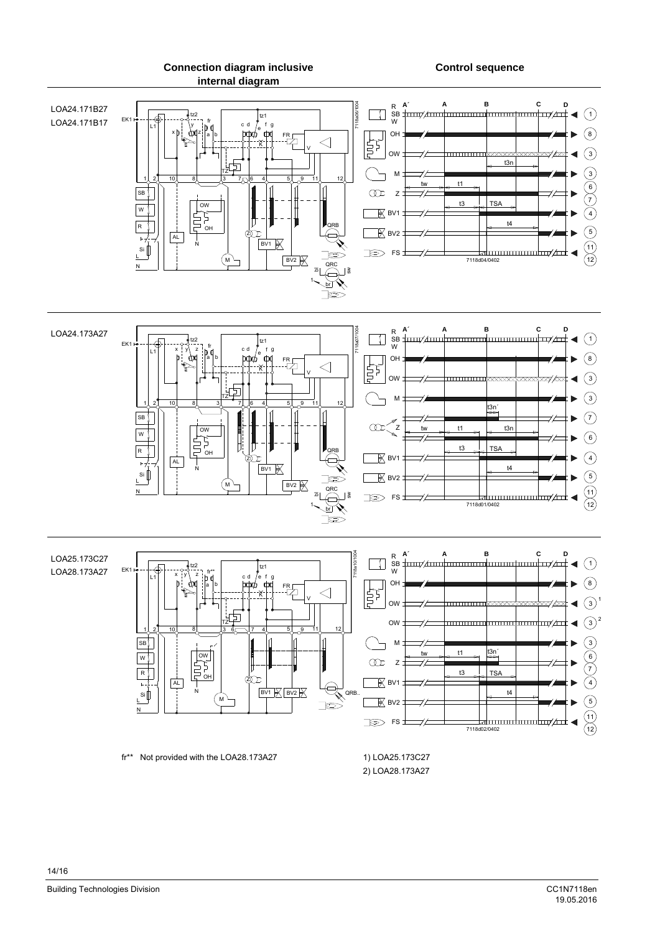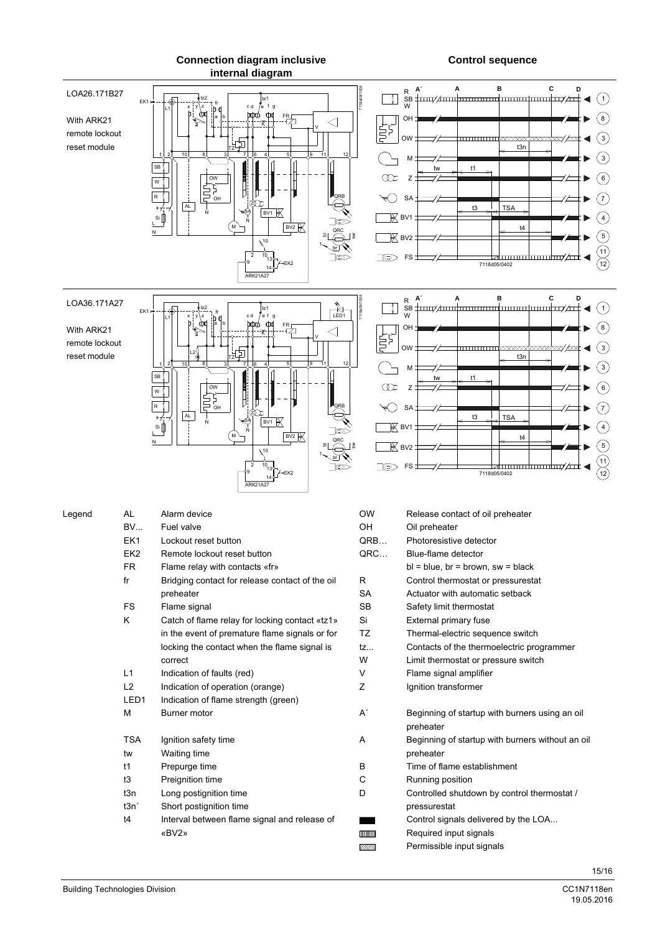